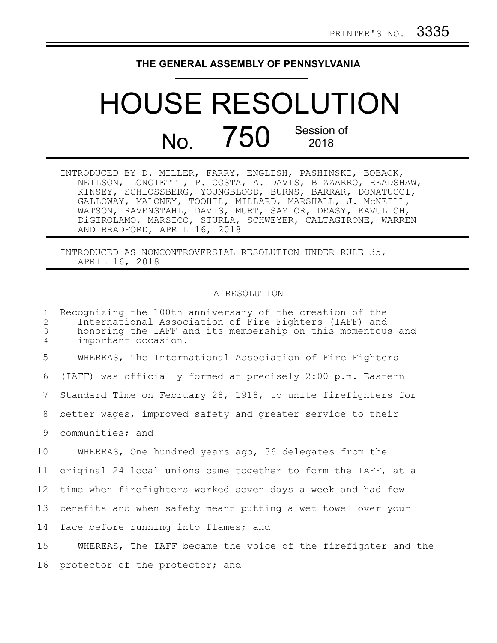## **THE GENERAL ASSEMBLY OF PENNSYLVANIA**

## HOUSE RESOLUTION  $N<sub>0</sub>$  750 Session of 2018

INTRODUCED BY D. MILLER, FARRY, ENGLISH, PASHINSKI, BOBACK, NEILSON, LONGIETTI, P. COSTA, A. DAVIS, BIZZARRO, READSHAW, KINSEY, SCHLOSSBERG, YOUNGBLOOD, BURNS, BARRAR, DONATUCCI, GALLOWAY, MALONEY, TOOHIL, MILLARD, MARSHALL, J. McNEILL, WATSON, RAVENSTAHL, DAVIS, MURT, SAYLOR, DEASY, KAVULICH, DiGIROLAMO, MARSICO, STURLA, SCHWEYER, CALTAGIRONE, WARREN AND BRADFORD, APRIL 16, 2018

INTRODUCED AS NONCONTROVERSIAL RESOLUTION UNDER RULE 35, APRIL 16, 2018

## A RESOLUTION

Recognizing the 100th anniversary of the creation of the International Association of Fire Fighters (IAFF) and honoring the IAFF and its membership on this momentous and important occasion. WHEREAS, The International Association of Fire Fighters (IAFF) was officially formed at precisely 2:00 p.m. Eastern Standard Time on February 28, 1918, to unite firefighters for better wages, improved safety and greater service to their communities; and WHEREAS, One hundred years ago, 36 delegates from the original 24 local unions came together to form the IAFF, at a time when firefighters worked seven days a week and had few benefits and when safety meant putting a wet towel over your face before running into flames; and WHEREAS, The IAFF became the voice of the firefighter and the 16 protector of the protector; and 1 2 3 4 5 6 7 8 9 10 11 12 13 14 15